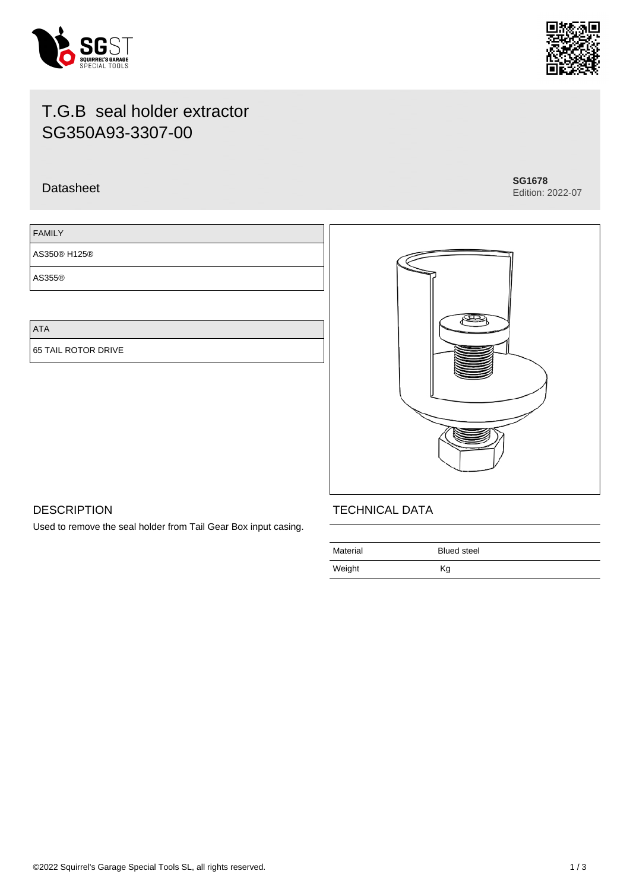



Edition: 2022-07

# T.G.B seal holder extractor SG350A93-3307-00

## Datasheet **SG1678**

FAMILY

AS350® H125®

AS355®

ATA

65 TAIL ROTOR DRIVE



## **DESCRIPTION**

Used to remove the seal holder from Tail Gear Box input casing.

## TECHNICAL DATA

| Material | <b>Blued steel</b> |
|----------|--------------------|
| Weight   | Κg                 |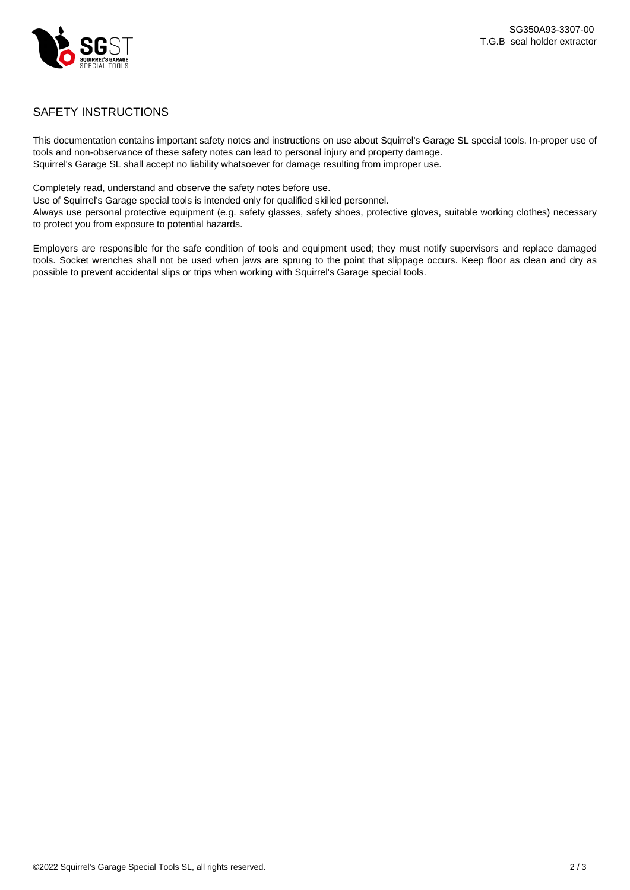

### SAFETY INSTRUCTIONS

This documentation contains important safety notes and instructions on use about Squirrel's Garage SL special tools. In-proper use of tools and non-observance of these safety notes can lead to personal injury and property damage. Squirrel's Garage SL shall accept no liability whatsoever for damage resulting from improper use.

Completely read, understand and observe the safety notes before use.

Use of Squirrel's Garage special tools is intended only for qualified skilled personnel.

Always use personal protective equipment (e.g. safety glasses, safety shoes, protective gloves, suitable working clothes) necessary to protect you from exposure to potential hazards.

Employers are responsible for the safe condition of tools and equipment used; they must notify supervisors and replace damaged tools. Socket wrenches shall not be used when jaws are sprung to the point that slippage occurs. Keep floor as clean and dry as possible to prevent accidental slips or trips when working with Squirrel's Garage special tools.